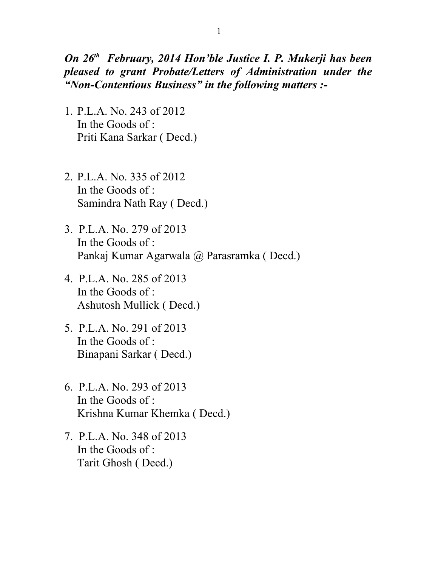*On 26th February, 2014 Hon'ble Justice I. P. Mukerji has been pleased to grant Probate/Letters of Administration under the "Non-Contentious Business" in the following matters :-*

- 1. P.L.A. No. 243 of 2012 In the Goods of : Priti Kana Sarkar ( Decd.)
- 2. P.L.A. No. 335 of 2012 In the Goods of : Samindra Nath Ray ( Decd.)
- 3. P.L.A. No. 279 of 2013 In the Goods of : Pankaj Kumar Agarwala @ Parasramka ( Decd.)
- 4. P.L.A. No. 285 of 2013 In the Goods of : Ashutosh Mullick ( Decd.)
- 5. P.L.A. No. 291 of 2013 In the Goods of : Binapani Sarkar ( Decd.)
- 6. P.L.A. No. 293 of 2013 In the Goods of : Krishna Kumar Khemka ( Decd.)
- 7. P.L.A. No. 348 of 2013 In the Goods of : Tarit Ghosh ( Decd.)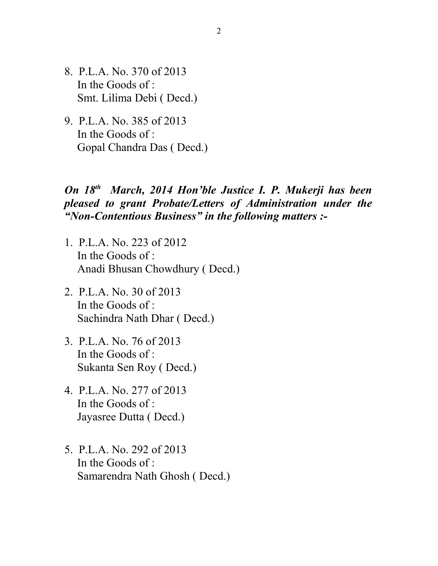- 8. P.L.A. No. 370 of 2013 In the Goods of : Smt. Lilima Debi ( Decd.)
- 9. P.L.A. No. 385 of 2013 In the Goods of : Gopal Chandra Das ( Decd.)

## *On 18th March, 2014 Hon'ble Justice I. P. Mukerji has been pleased to grant Probate/Letters of Administration under the "Non-Contentious Business" in the following matters :-*

- 1. P.L.A. No. 223 of 2012 In the Goods of : Anadi Bhusan Chowdhury ( Decd.)
- 2. P.L.A. No. 30 of 2013 In the Goods of : Sachindra Nath Dhar ( Decd.)
- 3. P.L.A. No. 76 of 2013 In the Goods of : Sukanta Sen Roy ( Decd.)
- 4. P.L.A. No. 277 of 2013 In the Goods of : Jayasree Dutta ( Decd.)
- 5. P.L.A. No. 292 of 2013 In the Goods of : Samarendra Nath Ghosh ( Decd.)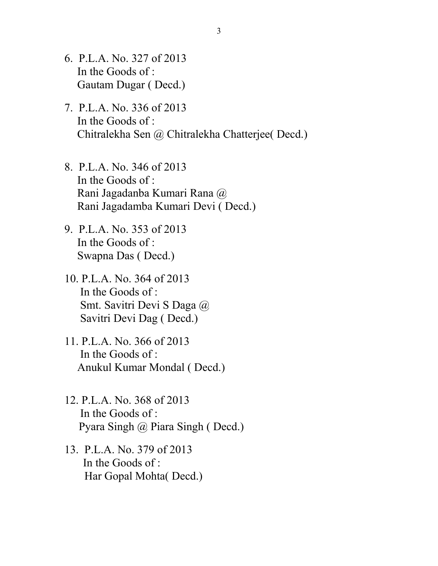- 6. P.L.A. No. 327 of 2013 In the Goods of : Gautam Dugar ( Decd.)
- 7. P.L.A. No. 336 of 2013 In the Goods of : Chitralekha Sen @ Chitralekha Chatterjee( Decd.)
- 8. P.L.A. No. 346 of 2013 In the Goods of : Rani Jagadanba Kumari Rana @ Rani Jagadamba Kumari Devi ( Decd.)
- 9. P.L.A. No. 353 of 2013 In the Goods of : Swapna Das ( Decd.)
- 10. P.L.A. No. 364 of 2013 In the Goods of : Smt. Savitri Devi S Daga @ Savitri Devi Dag ( Decd.)
- 11. P.L.A. No. 366 of 2013 In the Goods of : Anukul Kumar Mondal ( Decd.)
- 12. P.L.A. No. 368 of 2013 In the Goods of : Pyara Singh @ Piara Singh ( Decd.)
- 13. P.L.A. No. 379 of 2013 In the Goods of : Har Gopal Mohta( Decd.)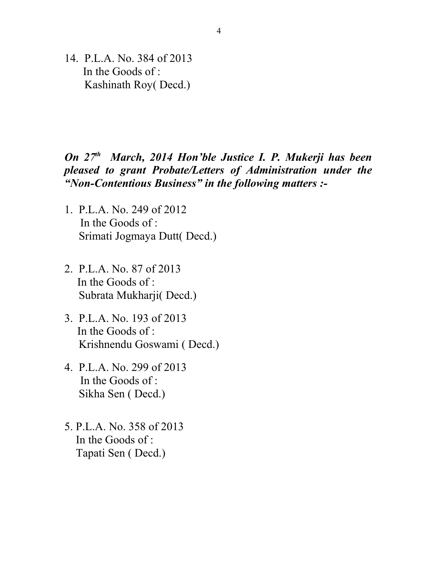14. P.L.A. No. 384 of 2013 In the Goods of : Kashinath Roy( Decd.)

## *On 27th March, 2014 Hon'ble Justice I. P. Mukerji has been pleased to grant Probate/Letters of Administration under the "Non-Contentious Business" in the following matters :-*

- 1. P.L.A. No. 249 of 2012 In the Goods of : Srimati Jogmaya Dutt( Decd.)
- 2. P.L.A. No. 87 of 2013 In the Goods of : Subrata Mukharji( Decd.)
- 3. P.L.A. No. 193 of 2013 In the Goods of : Krishnendu Goswami ( Decd.)
- 4. P.L.A. No. 299 of 2013 In the Goods of : Sikha Sen ( Decd.)
- 5. P.L.A. No. 358 of 2013 In the Goods of : Tapati Sen ( Decd.)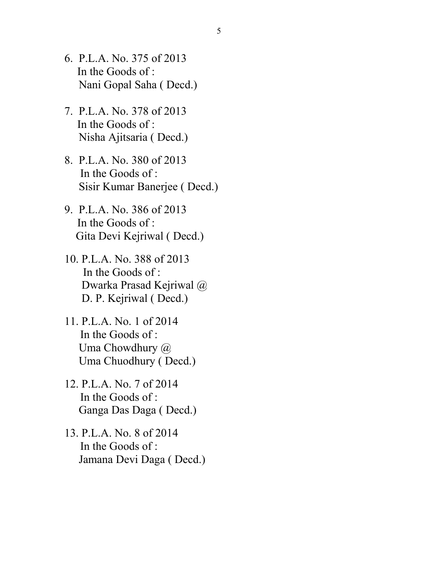- 6. P.L.A. No. 375 of 2013 In the Goods of : Nani Gopal Saha ( Decd.)
- 7. P.L.A. No. 378 of 2013 In the Goods of : Nisha Ajitsaria ( Decd.)
- 8. P.L.A. No. 380 of 2013 In the Goods of : Sisir Kumar Banerjee ( Decd.)
- 9. P.L.A. No. 386 of 2013 In the Goods of : Gita Devi Kejriwal ( Decd.)
- 10. P.L.A. No. 388 of 2013 In the Goods of : Dwarka Prasad Kejriwal @ D. P. Kejriwal ( Decd.)
- 11. P.L.A. No. 1 of 2014 In the Goods of : Uma Chowdhury @ Uma Chuodhury ( Decd.)
- 12. P.L.A. No. 7 of 2014 In the Goods of : Ganga Das Daga ( Decd.)
- 13. P.L.A. No. 8 of 2014 In the Goods of : Jamana Devi Daga ( Decd.)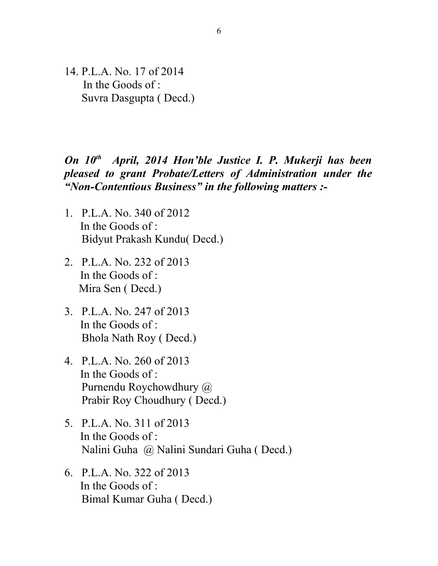14. P.L.A. No. 17 of 2014 In the Goods of : Suvra Dasgupta ( Decd.)

## *On 10th April, 2014 Hon'ble Justice I. P. Mukerji has been pleased to grant Probate/Letters of Administration under the "Non-Contentious Business" in the following matters :-*

- 1. P.L.A. No. 340 of 2012 In the Goods of : Bidyut Prakash Kundu( Decd.)
- 2. P.L.A. No. 232 of 2013 In the Goods of : Mira Sen ( Decd.)
- 3. P.L.A. No. 247 of 2013 In the Goods of : Bhola Nath Roy ( Decd.)
- 4. P.L.A. No. 260 of 2013 In the Goods of : Purnendu Roychowdhury @ Prabir Roy Choudhury ( Decd.)
- 5. P.L.A. No. 311 of 2013 In the Goods of : Nalini Guha @ Nalini Sundari Guha ( Decd.)
- 6. P.L.A. No. 322 of 2013 In the Goods of : Bimal Kumar Guha ( Decd.)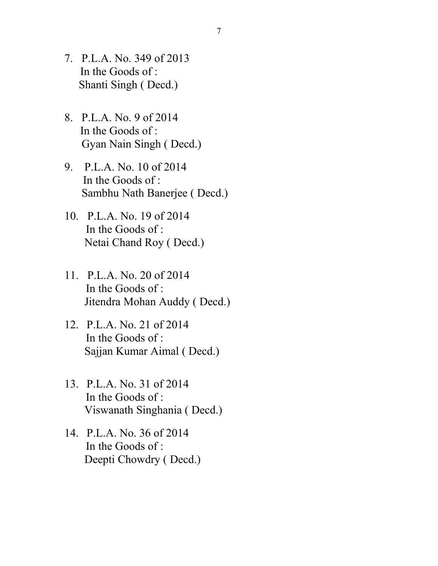- 7. P.L.A. No. 349 of 2013 In the Goods of : Shanti Singh ( Decd.)
- 8. P.L.A. No. 9 of 2014 In the Goods of : Gyan Nain Singh ( Decd.)
- 9. P.L.A. No. 10 of 2014 In the Goods of : Sambhu Nath Banerjee ( Decd.)
- 10. P.L.A. No. 19 of 2014 In the Goods of : Netai Chand Roy ( Decd.)
- 11. P.L.A. No. 20 of 2014 In the Goods of : Jitendra Mohan Auddy ( Decd.)
- 12. P.L.A. No. 21 of 2014 In the Goods of : Sajjan Kumar Aimal ( Decd.)
- 13. P.L.A. No. 31 of 2014 In the Goods of : Viswanath Singhania ( Decd.)
- 14. P.L.A. No. 36 of 2014 In the Goods of : Deepti Chowdry ( Decd.)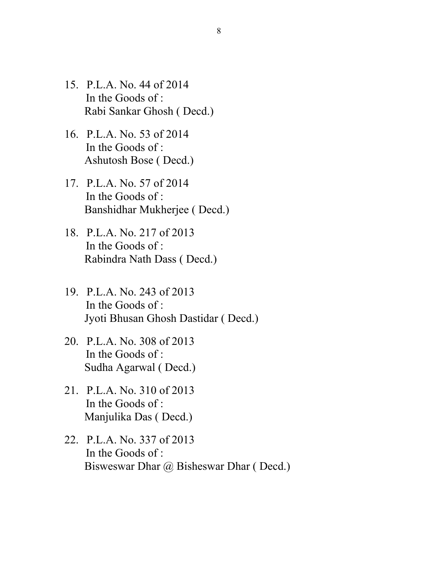- 15. P.L.A. No. 44 of 2014 In the Goods of : Rabi Sankar Ghosh ( Decd.)
- 16. P.L.A. No. 53 of 2014 In the Goods of : Ashutosh Bose ( Decd.)
- 17. P.L.A. No. 57 of 2014 In the Goods of : Banshidhar Mukherjee ( Decd.)
- 18. P.L.A. No. 217 of 2013 In the Goods of : Rabindra Nath Dass ( Decd.)
- 19. P.L.A. No. 243 of 2013 In the Goods of : Jyoti Bhusan Ghosh Dastidar ( Decd.)
- 20. P.L.A. No. 308 of 2013 In the Goods of : Sudha Agarwal ( Decd.)
- 21. P.L.A. No. 310 of 2013 In the Goods of : Manjulika Das ( Decd.)
- 22. P.L.A. No. 337 of 2013 In the Goods of : Bisweswar Dhar @ Bisheswar Dhar ( Decd.)